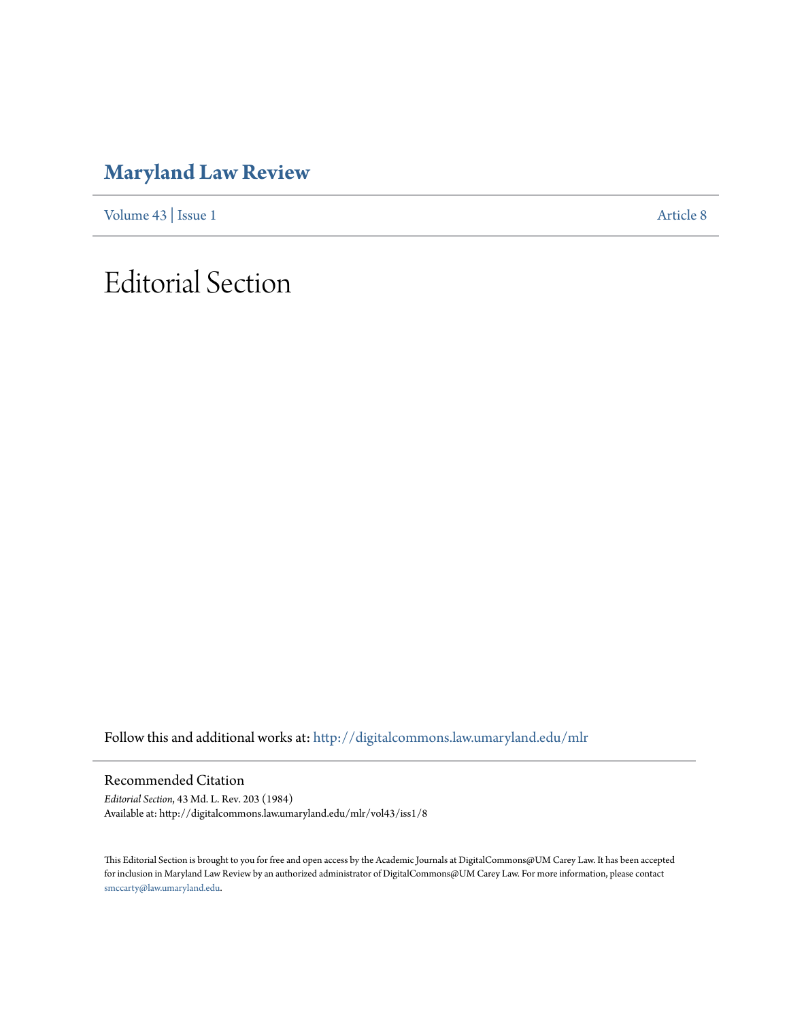### **[Maryland Law Review](http://digitalcommons.law.umaryland.edu/mlr?utm_source=digitalcommons.law.umaryland.edu%2Fmlr%2Fvol43%2Fiss1%2F8&utm_medium=PDF&utm_campaign=PDFCoverPages)**

[Volume 43](http://digitalcommons.law.umaryland.edu/mlr/vol43?utm_source=digitalcommons.law.umaryland.edu%2Fmlr%2Fvol43%2Fiss1%2F8&utm_medium=PDF&utm_campaign=PDFCoverPages) | [Issue 1](http://digitalcommons.law.umaryland.edu/mlr/vol43/iss1?utm_source=digitalcommons.law.umaryland.edu%2Fmlr%2Fvol43%2Fiss1%2F8&utm_medium=PDF&utm_campaign=PDFCoverPages) [Article 8](http://digitalcommons.law.umaryland.edu/mlr/vol43/iss1/8?utm_source=digitalcommons.law.umaryland.edu%2Fmlr%2Fvol43%2Fiss1%2F8&utm_medium=PDF&utm_campaign=PDFCoverPages)

## Editorial Section

Follow this and additional works at: [http://digitalcommons.law.umaryland.edu/mlr](http://digitalcommons.law.umaryland.edu/mlr?utm_source=digitalcommons.law.umaryland.edu%2Fmlr%2Fvol43%2Fiss1%2F8&utm_medium=PDF&utm_campaign=PDFCoverPages)

Recommended Citation

*Editorial Section*, 43 Md. L. Rev. 203 (1984) Available at: http://digitalcommons.law.umaryland.edu/mlr/vol43/iss1/8

This Editorial Section is brought to you for free and open access by the Academic Journals at DigitalCommons@UM Carey Law. It has been accepted for inclusion in Maryland Law Review by an authorized administrator of DigitalCommons@UM Carey Law. For more information, please contact [smccarty@law.umaryland.edu.](mailto:smccarty@law.umaryland.edu)